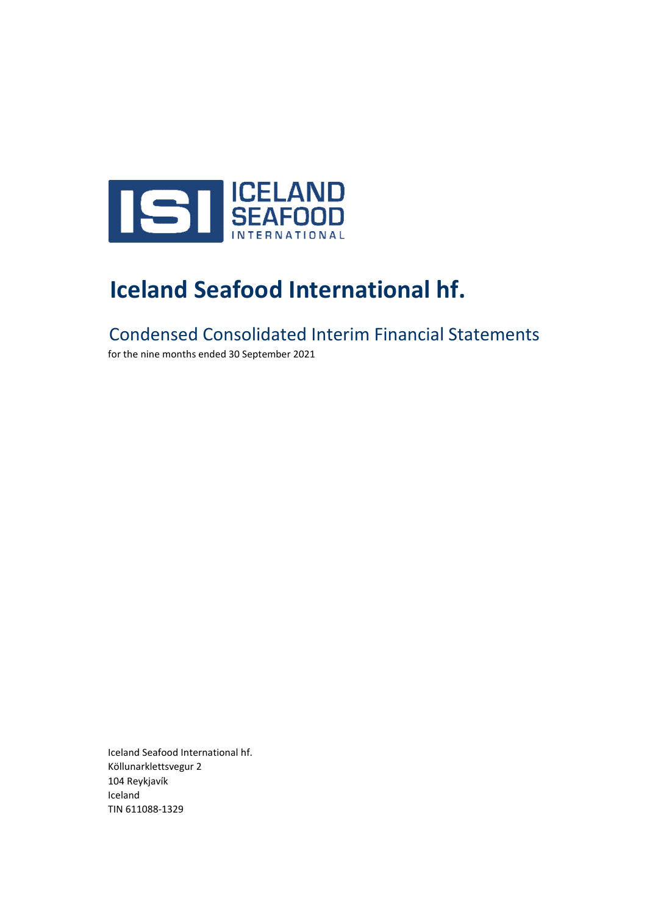

# **Iceland Seafood International hf.**

Condensed Consolidated Interim Financial Statements

for the nine months ended 30 September 2021

Iceland Seafood International hf. Köllunarklettsvegur 2 104 Reykjavík Iceland TIN 611088-1329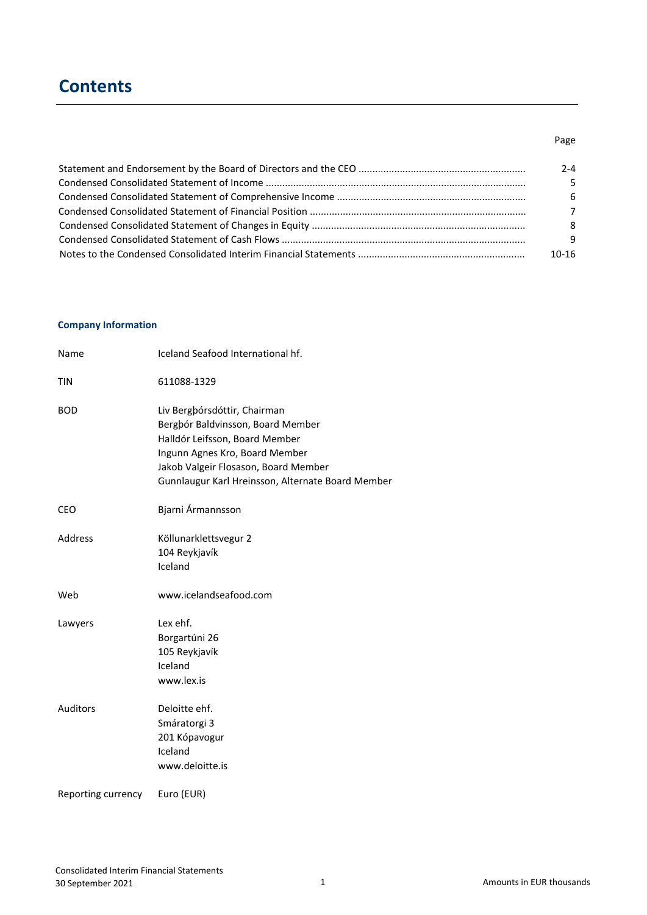# **Contents**

### Page

| 2-4   |
|-------|
| 5.    |
| -6    |
| 7     |
| 8     |
| q     |
| 10-16 |

### **Company Information**

| Name               | Iceland Seafood International hf.                                                                                                                                                                                                  |
|--------------------|------------------------------------------------------------------------------------------------------------------------------------------------------------------------------------------------------------------------------------|
| <b>TIN</b>         | 611088-1329                                                                                                                                                                                                                        |
| <b>BOD</b>         | Liv Bergþórsdóttir, Chairman<br>Bergþór Baldvinsson, Board Member<br>Halldór Leifsson, Board Member<br>Ingunn Agnes Kro, Board Member<br>Jakob Valgeir Flosason, Board Member<br>Gunnlaugur Karl Hreinsson, Alternate Board Member |
| <b>CEO</b>         | Bjarni Ármannsson                                                                                                                                                                                                                  |
| Address            | Köllunarklettsvegur 2<br>104 Reykjavík<br>Iceland                                                                                                                                                                                  |
| Web                | www.icelandseafood.com                                                                                                                                                                                                             |
| Lawyers            | Lex ehf.<br>Borgartúni 26<br>105 Reykjavík<br>Iceland<br>www.lex.is                                                                                                                                                                |
| <b>Auditors</b>    | Deloitte ehf.<br>Smáratorgi 3<br>201 Kópavogur<br>Iceland<br>www.deloitte.is                                                                                                                                                       |
| Reporting currency | Euro (EUR)                                                                                                                                                                                                                         |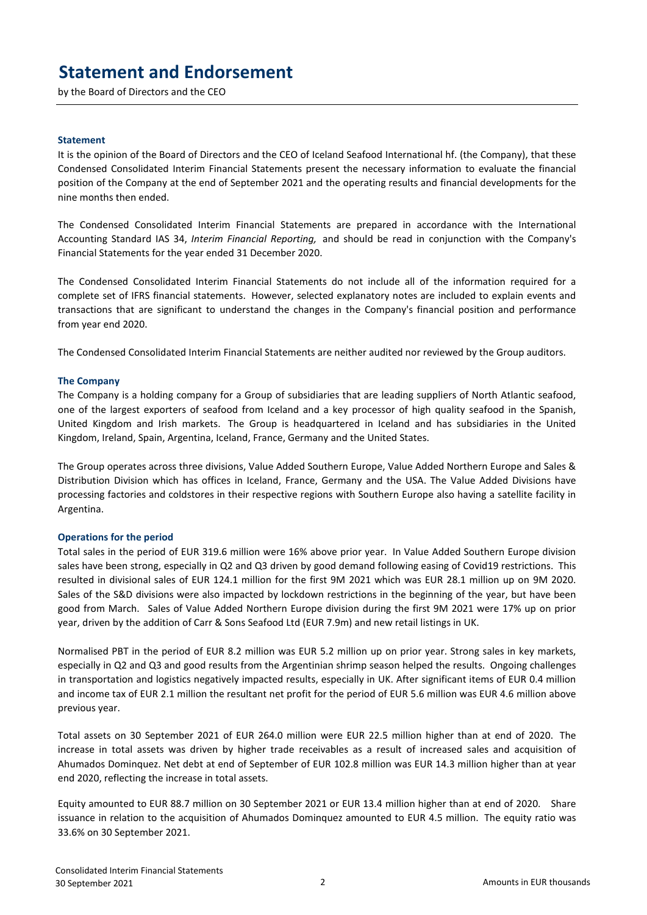# **Statement and Endorsement**

by the Board of Directors and the CEO

#### **Statement**

It is the opinion of the Board of Directors and the CEO of Iceland Seafood International hf. (the Company), that these Condensed Consolidated Interim Financial Statements present the necessary information to evaluate the financial position of the Company at the end of September 2021 and the operating results and financial developments for the nine months then ended.

The Condensed Consolidated Interim Financial Statements are prepared in accordance with the International Accounting Standard IAS 34, *Interim Financial Reporting,* and should be read in conjunction with the Company's Financial Statements for the year ended 31 December 2020.

The Condensed Consolidated Interim Financial Statements do not include all of the information required for a complete set of IFRS financial statements. However, selected explanatory notes are included to explain events and transactions that are significant to understand the changes in the Company's financial position and performance from year end 2020.

The Condensed Consolidated Interim Financial Statements are neither audited nor reviewed by the Group auditors.

#### **The Company**

The Company is a holding company for a Group of subsidiaries that are leading suppliers of North Atlantic seafood, one of the largest exporters of seafood from Iceland and a key processor of high quality seafood in the Spanish, United Kingdom and Irish markets. The Group is headquartered in Iceland and has subsidiaries in the United Kingdom, Ireland, Spain, Argentina, Iceland, France, Germany and the United States.

The Group operates across three divisions, Value Added Southern Europe, Value Added Northern Europe and Sales & Distribution Division which has offices in Iceland, France, Germany and the USA. The Value Added Divisions have processing factories and coldstores in their respective regions with Southern Europe also having a satellite facility in Argentina.

#### **Operations for the period**

Total sales in the period of EUR 319.6 million were 16% above prior year. In Value Added Southern Europe division sales have been strong, especially in Q2 and Q3 driven by good demand following easing of Covid19 restrictions. This resulted in divisional sales of EUR 124.1 million for the first 9M 2021 which was EUR 28.1 million up on 9M 2020. Sales of the S&D divisions were also impacted by lockdown restrictions in the beginning of the year, but have been good from March. Sales of Value Added Northern Europe division during the first 9M 2021 were 17% up on prior year, driven by the addition of Carr & Sons Seafood Ltd (EUR 7.9m) and new retail listings in UK.

Normalised PBT in the period of EUR 8.2 million was EUR 5.2 million up on prior year. Strong sales in key markets, especially in Q2 and Q3 and good results from the Argentinian shrimp season helped the results. Ongoing challenges in transportation and logistics negatively impacted results, especially in UK. After significant items of EUR 0.4 million and income tax of EUR 2.1 million the resultant net profit for the period of EUR 5.6 million was EUR 4.6 million above previous year.

Total assets on 30 September 2021 of EUR 264.0 million were EUR 22.5 million higher than at end of 2020. The increase in total assets was driven by higher trade receivables as a result of increased sales and acquisition of Ahumados Dominquez. Net debt at end of September of EUR 102.8 million was EUR 14.3 million higher than at year end 2020, reflecting the increase in total assets.

Equity amounted to EUR 88.7 million on 30 September 2021 or EUR 13.4 million higher than at end of 2020. Share issuance in relation to the acquisition of Ahumados Dominquez amounted to EUR 4.5 million. The equity ratio was 33.6% on 30 September 2021.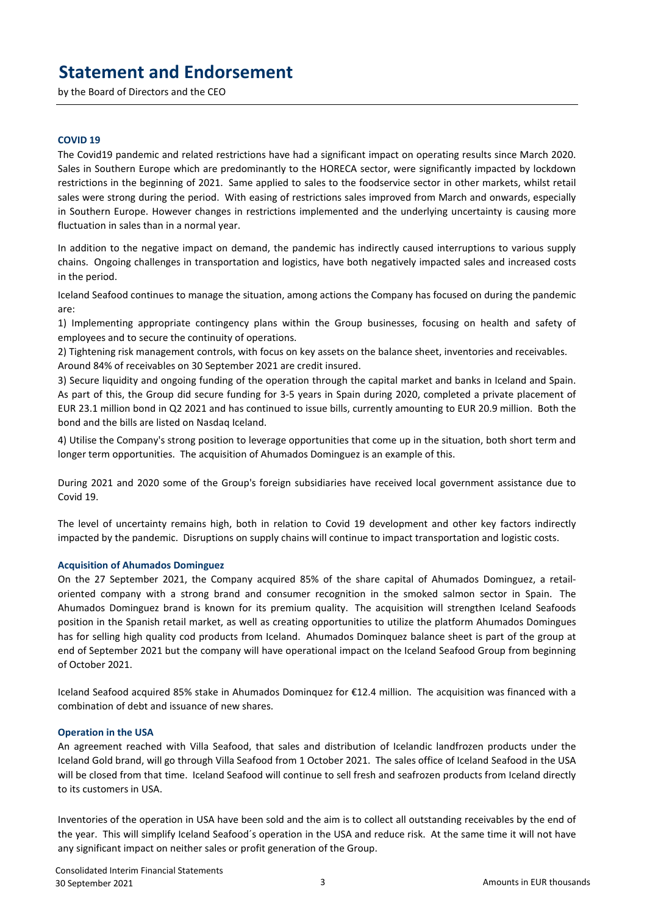# **Statement and Endorsement**

by the Board of Directors and the CEO

#### **COVID 19**

The Covid19 pandemic and related restrictions have had a significant impact on operating results since March 2020. Sales in Southern Europe which are predominantly to the HORECA sector, were significantly impacted by lockdown restrictions in the beginning of 2021. Same applied to sales to the foodservice sector in other markets, whilst retail sales were strong during the period. With easing of restrictions sales improved from March and onwards, especially in Southern Europe. However changes in restrictions implemented and the underlying uncertainty is causing more fluctuation in sales than in a normal year.

In addition to the negative impact on demand, the pandemic has indirectly caused interruptions to various supply chains. Ongoing challenges in transportation and logistics, have both negatively impacted sales and increased costs in the period.

Iceland Seafood continues to manage the situation, among actions the Company has focused on during the pandemic are:

1) Implementing appropriate contingency plans within the Group businesses, focusing on health and safety of employees and to secure the continuity of operations.

2) Tightening risk management controls, with focus on key assets on the balance sheet, inventories and receivables. Around 84% of receivables on 30 September 2021 are credit insured.

3) Secure liquidity and ongoing funding of the operation through the capital market and banks in Iceland and Spain. As part of this, the Group did secure funding for 3-5 years in Spain during 2020, completed a private placement of EUR 23.1 million bond in Q2 2021 and has continued to issue bills, currently amounting to EUR 20.9 million. Both the bond and the bills are listed on Nasdaq Iceland.

4) Utilise the Company's strong position to leverage opportunities that come up in the situation, both short term and longer term opportunities. The acquisition of Ahumados Dominguez is an example of this.

During 2021 and 2020 some of the Group's foreign subsidiaries have received local government assistance due to Covid 19.

The level of uncertainty remains high, both in relation to Covid 19 development and other key factors indirectly impacted by the pandemic. Disruptions on supply chains will continue to impact transportation and logistic costs.

#### **Acquisition of Ahumados Dominguez**

On the 27 September 2021, the Company acquired 85% of the share capital of Ahumados Dominguez, a retailoriented company with a strong brand and consumer recognition in the smoked salmon sector in Spain. The Ahumados Dominguez brand is known for its premium quality. The acquisition will strengthen Iceland Seafoods position in the Spanish retail market, as well as creating opportunities to utilize the platform Ahumados Domingues has for selling high quality cod products from Iceland. Ahumados Dominquez balance sheet is part of the group at end of September 2021 but the company will have operational impact on the Iceland Seafood Group from beginning of October 2021.

Iceland Seafood acquired 85% stake in Ahumados Dominquez for €12.4 million. The acquisition was financed with a combination of debt and issuance of new shares.

#### **Operation in the USA**

An agreement reached with Villa Seafood, that sales and distribution of Icelandic landfrozen products under the Iceland Gold brand, will go through Villa Seafood from 1 October 2021. The sales office of Iceland Seafood in the USA will be closed from that time. Iceland Seafood will continue to sell fresh and seafrozen products from Iceland directly to its customers in USA.

Inventories of the operation in USA have been sold and the aim is to collect all outstanding receivables by the end of the year. This will simplify Iceland Seafood´s operation in the USA and reduce risk. At the same time it will not have any significant impact on neither sales or profit generation of the Group.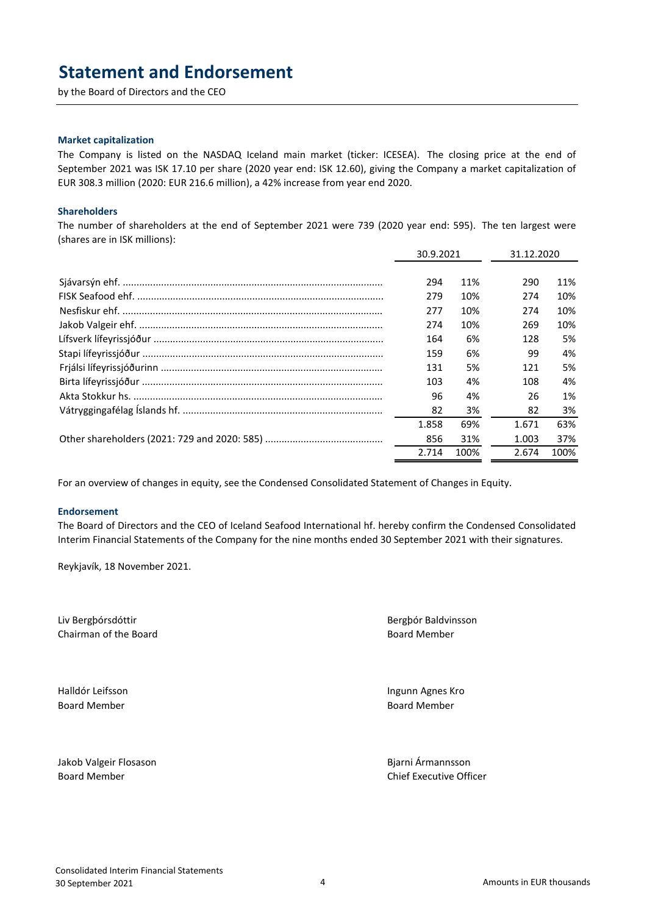### **Statement and Endorsement**

by the Board of Directors and the CEO

#### **Market capitalization**

The Company is listed on the NASDAQ Iceland main market (ticker: ICESEA). The closing price at the end of September 2021 was ISK 17.10 per share (2020 year end: ISK 12.60), giving the Company a market capitalization of EUR 308.3 million (2020: EUR 216.6 million), a 42% increase from year end 2020.

#### **Shareholders**

The number of shareholders at the end of September 2021 were 739 (2020 year end: 595). The ten largest were (shares are in ISK millions):

| 30.9.2021 |      | 31.12.2020 |      |
|-----------|------|------------|------|
|           |      |            |      |
| 294       | 11%  | 290        | 11%  |
| 279       | 10%  | 274        | 10%  |
| 277       | 10%  | 274        | 10%  |
| 274       | 10%  | 269        | 10%  |
| 164       | 6%   | 128        | 5%   |
| 159       | 6%   | 99         | 4%   |
| 131       | 5%   | 121        | 5%   |
| 103       | 4%   | 108        | 4%   |
| 96        | 4%   | 26         | 1%   |
| 82        | 3%   | 82         | 3%   |
| 1.858     | 69%  | 1.671      | 63%  |
| 856       | 31%  | 1.003      | 37%  |
| 2.714     | 100% | 2.674      | 100% |

For an overview of changes in equity, see the Condensed Consolidated Statement of Changes in Equity.

#### **Endorsement**

The Board of Directors and the CEO of Iceland Seafood International hf. hereby confirm the Condensed Consolidated Interim Financial Statements of the Company for the nine months ended 30 September 2021 with their signatures.

Reykjavík, 18 November 2021.

Liv Bergþórsdóttir Bergþór Baldvinsson Chairman of the Board **Board Board Accord Board Member** Board Member

Board Member Board Member

Halldór Leifsson Ingunn Agnes Kro

Jakob Valgeir Flosason Bjarni Ármannsson Board Member Chief Executive Officer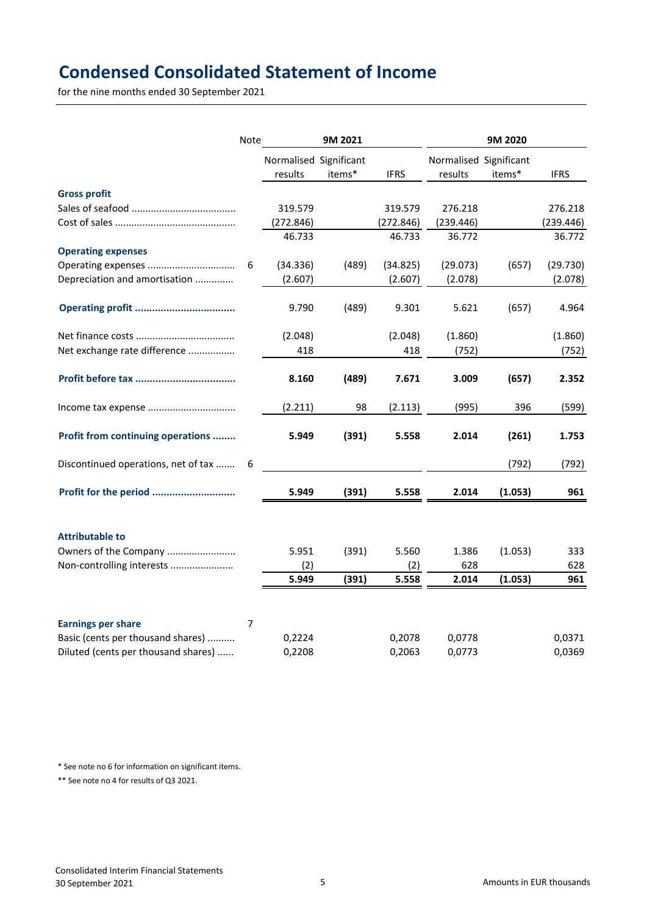# **Condensed Consolidated Statement of Income**

for the nine months ended 30 September 2021

|                                     | Note           | 9M 2021                |        |             | 9M 2020                |         |             |  |
|-------------------------------------|----------------|------------------------|--------|-------------|------------------------|---------|-------------|--|
|                                     |                | Normalised Significant |        |             | Normalised Significant |         |             |  |
|                                     |                | results                | items* | <b>IFRS</b> | results                | items*  | <b>IFRS</b> |  |
| <b>Gross profit</b>                 |                |                        |        |             |                        |         |             |  |
|                                     |                | 319.579                |        | 319.579     | 276.218                |         | 276.218     |  |
|                                     |                | (272.846)              |        | (272.846)   | (239.446)              |         | (239.446)   |  |
|                                     |                | 46.733                 |        | 46.733      | 36.772                 |         | 36.772      |  |
| <b>Operating expenses</b>           |                |                        |        |             |                        |         |             |  |
|                                     | 6              | (34.336)               | (489)  | (34.825)    | (29.073)               | (657)   | (29.730)    |  |
| Depreciation and amortisation       |                | (2.607)                |        | (2.607)     | (2.078)                |         | (2.078)     |  |
|                                     |                | 9.790                  | (489)  | 9.301       | 5.621                  | (657)   | 4.964       |  |
|                                     |                | (2.048)                |        | (2.048)     | (1.860)                |         | (1.860)     |  |
| Net exchange rate difference        |                | 418                    |        | 418         | (752)                  |         | (752)       |  |
|                                     |                | 8.160                  | (489)  | 7.671       | 3.009                  | (657)   | 2.352       |  |
|                                     |                | (2.211)                | 98     | (2.113)     | (995)                  | 396     | (599)       |  |
| Profit from continuing operations   |                | 5.949                  | (391)  | 5.558       | 2.014                  | (261)   | 1.753       |  |
| Discontinued operations, net of tax | 6              |                        |        |             |                        | (792)   | (792)       |  |
| Profit for the period               |                | 5.949                  | (391)  | 5.558       | 2.014                  | (1.053) | 961         |  |
| <b>Attributable to</b>              |                |                        |        |             |                        |         |             |  |
| Owners of the Company               |                | 5.951                  | (391)  | 5.560       | 1.386                  | (1.053) | 333         |  |
| Non-controlling interests           |                | (2)                    |        | (2)         | 628                    |         | 628         |  |
|                                     |                | 5.949                  | (391)  | 5.558       | 2.014                  | (1.053) | 961         |  |
|                                     |                |                        |        |             |                        |         |             |  |
| <b>Earnings per share</b>           | $\overline{7}$ |                        |        |             |                        |         |             |  |
| Basic (cents per thousand shares)   |                | 0,2224                 |        | 0,2078      | 0,0778                 |         | 0,0371      |  |
| Diluted (cents per thousand shares) |                | 0,2208                 |        | 0,2063      | 0,0773                 |         | 0,0369      |  |

\* See note no 6 for information on significant items.

\*\* See note no 4 for results of Q3 2021.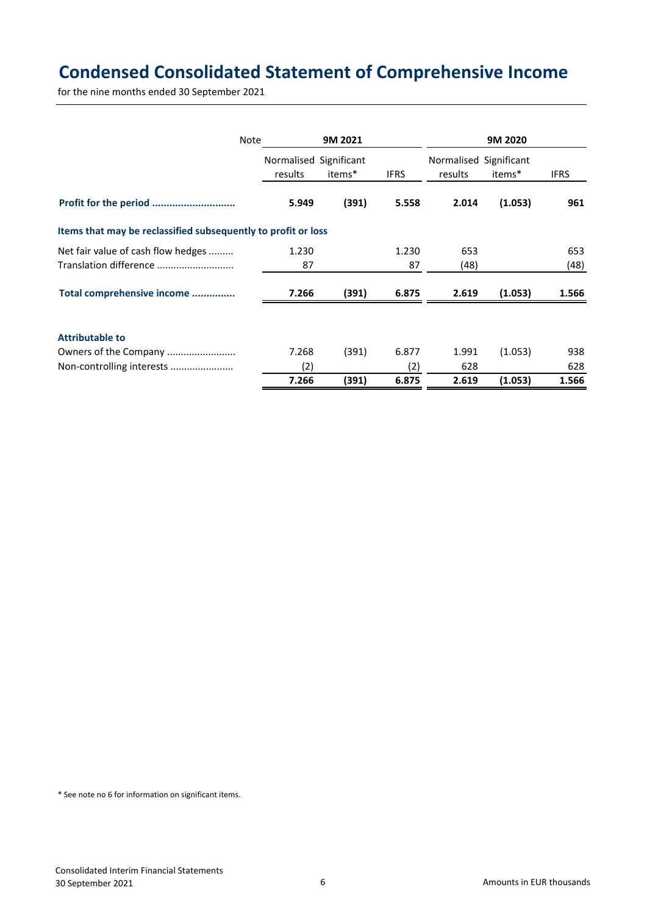# **Condensed Consolidated Statement of Comprehensive Income**

for the nine months ended 30 September 2021

| Note                                                          |         | 9M 2021                                          |             |         | 9M 2020 |             |
|---------------------------------------------------------------|---------|--------------------------------------------------|-------------|---------|---------|-------------|
|                                                               |         | Normalised Significant<br>Normalised Significant |             |         |         |             |
|                                                               | results | items*                                           | <b>IFRS</b> | results | items*  | <b>IFRS</b> |
|                                                               | 5.949   | (391)                                            | 5.558       | 2.014   | (1.053) | 961         |
| Items that may be reclassified subsequently to profit or loss |         |                                                  |             |         |         |             |
| Net fair value of cash flow hedges                            | 1.230   |                                                  | 1.230       | 653     |         | 653         |
| Translation difference                                        | 87      |                                                  | 87          | (48)    |         | (48)        |
| Total comprehensive income                                    | 7.266   | (391)                                            | 6.875       | 2.619   | (1.053) | 1.566       |
| <b>Attributable to</b>                                        |         |                                                  |             |         |         |             |
| Owners of the Company                                         | 7.268   | (391)                                            | 6.877       | 1.991   | (1.053) | 938         |
| Non-controlling interests                                     | (2)     |                                                  | (2)         | 628     |         | 628         |
|                                                               | 7.266   | (391)                                            | 6.875       | 2.619   | (1.053) | 1.566       |

\* See note no 6 for information on significant items.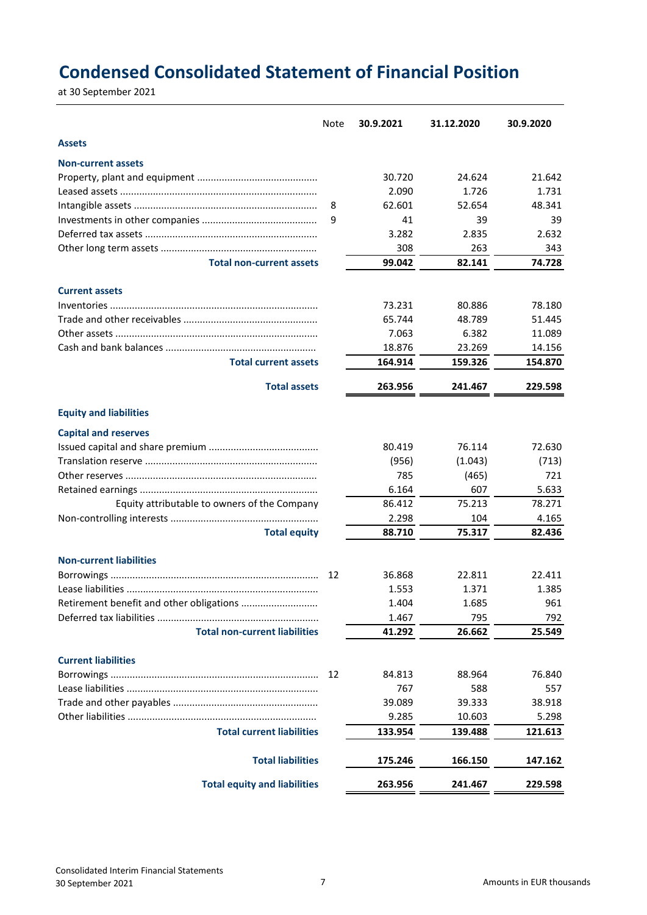# **Condensed Consolidated Statement of Financial Position**

at 30 September 2021

|                                              | <b>Note</b> | 30.9.2021    | 31.12.2020   | 30.9.2020    |
|----------------------------------------------|-------------|--------------|--------------|--------------|
| <b>Assets</b>                                |             |              |              |              |
| <b>Non-current assets</b>                    |             |              |              |              |
|                                              |             | 30.720       | 24.624       | 21.642       |
|                                              |             | 2.090        | 1.726        | 1.731        |
|                                              | 8           | 62.601       | 52.654       | 48.341       |
|                                              | 9           | 41           | 39           | 39           |
|                                              |             | 3.282        | 2.835        | 2.632        |
|                                              |             | 308          | 263          | 343          |
| <b>Total non-current assets</b>              |             | 99.042       | 82.141       | 74.728       |
| <b>Current assets</b>                        |             |              |              |              |
|                                              |             | 73.231       | 80.886       | 78.180       |
|                                              |             | 65.744       | 48.789       | 51.445       |
|                                              |             | 7.063        | 6.382        | 11.089       |
|                                              |             | 18.876       | 23.269       | 14.156       |
| <b>Total current assets</b>                  |             | 164.914      | 159.326      | 154.870      |
| <b>Total assets</b>                          |             | 263.956      | 241.467      | 229.598      |
| <b>Equity and liabilities</b>                |             |              |              |              |
|                                              |             |              |              |              |
| <b>Capital and reserves</b>                  |             |              | 76.114       |              |
|                                              |             | 80.419       |              | 72.630       |
|                                              |             | (956)<br>785 | (1.043)      | (713)        |
|                                              |             | 6.164        | (465)<br>607 | 721<br>5.633 |
|                                              |             | 86.412       | 75.213       | 78.271       |
| Equity attributable to owners of the Company |             | 2.298        | 104          | 4.165        |
| <b>Total equity</b>                          |             | 88.710       | 75.317       | 82.436       |
|                                              |             |              |              |              |
| <b>Non-current liabilities</b>               |             |              |              |              |
|                                              | 12          | 36.868       | 22.811       | 22.411       |
|                                              |             | 1.553        | 1.371        | 1.385        |
| Retirement benefit and other obligations     |             | 1.404        | 1.685        | 961          |
|                                              |             | 1.467        | 795          | 792          |
| <b>Total non-current liabilities</b>         |             | 41.292       | 26.662       | 25.549       |
| <b>Current liabilities</b>                   |             |              |              |              |
|                                              | 12          | 84.813       | 88.964       | 76.840       |
|                                              |             | 767          | 588          | 557          |
|                                              |             | 39.089       | 39.333       | 38.918       |
|                                              |             | 9.285        | 10.603       | 5.298        |
| <b>Total current liabilities</b>             |             | 133.954      | 139.488      | 121.613      |
| <b>Total liabilities</b>                     |             | 175.246      | 166.150      | 147.162      |
| <b>Total equity and liabilities</b>          |             | 263.956      | 241.467      | 229.598      |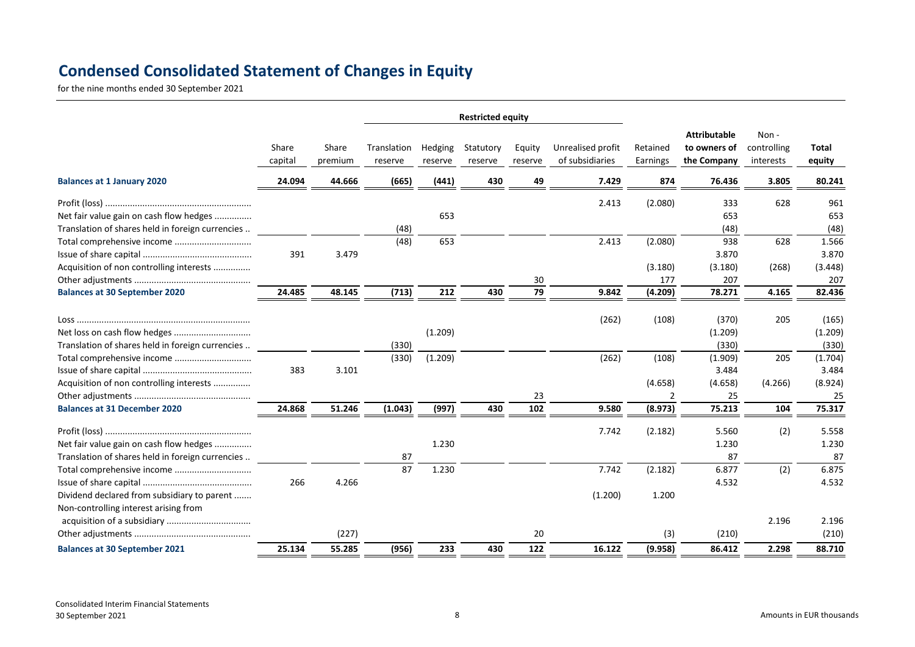# **Condensed Consolidated Statement of Changes in Equity**

for the nine months ended 30 September 2021

|                                                                                             |                  |                  | <b>Restricted equity</b> |                    |                      |                   |                                      |                                      |                                                    |                                  |                           |
|---------------------------------------------------------------------------------------------|------------------|------------------|--------------------------|--------------------|----------------------|-------------------|--------------------------------------|--------------------------------------|----------------------------------------------------|----------------------------------|---------------------------|
|                                                                                             | Share<br>capital | Share<br>premium | Translation<br>reserve   | Hedging<br>reserve | Statutory<br>reserve | Equity<br>reserve | Unrealised profit<br>of subsidiaries | Retained<br>Earnings                 | <b>Attributable</b><br>to owners of<br>the Company | Non-<br>controlling<br>interests | Total<br>equity           |
| <b>Balances at 1 January 2020</b>                                                           | 24.094           | 44.666           | (665)                    | (441)              | 430                  | 49                | 7.429                                | 874                                  | 76.436                                             | 3.805                            | 80.241                    |
| Net fair value gain on cash flow hedges<br>Translation of shares held in foreign currencies |                  |                  | (48)                     | 653                |                      |                   | 2.413                                | (2.080)                              | 333<br>653<br>(48)                                 | 628                              | 961<br>653<br>(48)        |
|                                                                                             | 391              | 3.479            | (48)                     | 653                |                      |                   | 2.413                                | (2.080)                              | 938<br>3.870                                       | 628                              | 1.566<br>3.870            |
| Acquisition of non controlling interests                                                    |                  |                  |                          |                    |                      | 30                |                                      | (3.180)<br>177                       | (3.180)<br>207                                     | (268)                            | (3.448)<br>207            |
| <b>Balances at 30 September 2020</b>                                                        | 24.485           | 48.145           | (713)                    | 212                | 430                  | 79                | 9.842                                | (4.209)                              | 78.271                                             | 4.165                            | 82.436                    |
| Translation of shares held in foreign currencies                                            |                  |                  | (330)                    | (1.209)            |                      |                   | (262)                                | (108)                                | (370)<br>(1.209)<br>(330)                          | 205                              | (165)<br>(1.209)<br>(330) |
|                                                                                             | 383              | 3.101            | (330)                    | (1.209)            |                      |                   | (262)                                | (108)                                | (1.909)<br>3.484                                   | 205                              | (1.704)<br>3.484          |
| Acquisition of non controlling interests<br><b>Balances at 31 December 2020</b>             | 24.868           | 51.246           | (1.043)                  | (997)              | 430                  | 23<br>102         | 9.580                                | (4.658)<br>$\overline{2}$<br>(8.973) | (4.658)<br>25<br>75.213                            | (4.266)<br>104                   | (8.924)<br>25<br>75.317   |
| Net fair value gain on cash flow hedges<br>Translation of shares held in foreign currencies |                  |                  | 87                       | 1.230              |                      |                   | 7.742                                | (2.182)                              | 5.560<br>1.230<br>87                               | (2)                              | 5.558<br>1.230<br>87      |
| Dividend declared from subsidiary to parent                                                 | 266              | 4.266            | 87                       | 1.230              |                      |                   | 7.742<br>(1.200)                     | (2.182)<br>1.200                     | 6.877<br>4.532                                     | (2)                              | 6.875<br>4.532            |
| Non-controlling interest arising from                                                       |                  | (227)            |                          |                    |                      | 20                |                                      | (3)                                  | (210)                                              | 2.196                            | 2.196<br>(210)            |
| <b>Balances at 30 September 2021</b>                                                        | 25.134           | 55.285           | (956)                    | 233                | 430                  | 122               | 16.122                               | (9.958)                              | 86.412                                             | 2.298                            | 88.710                    |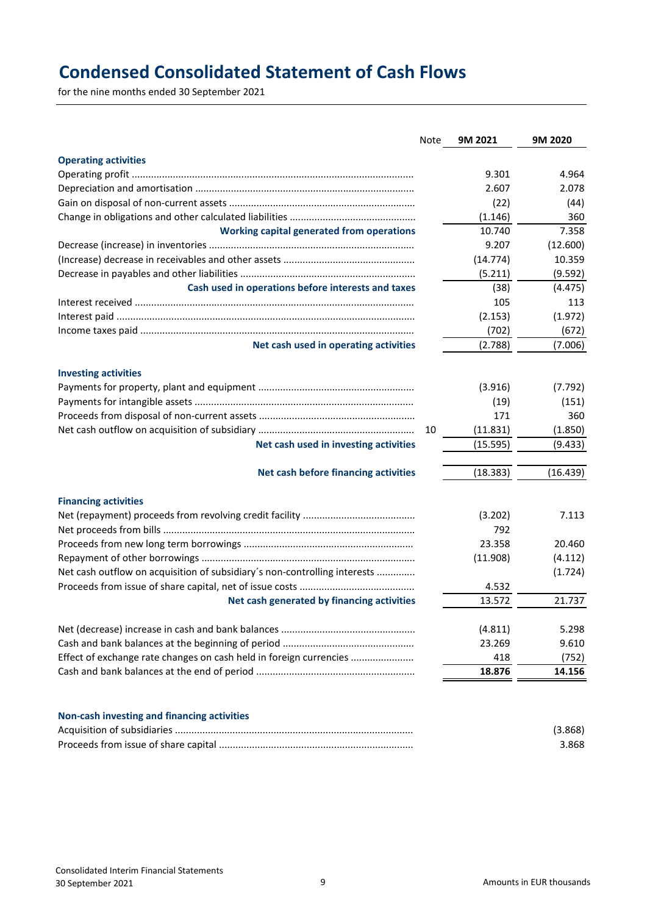# **Condensed Consolidated Statement of Cash Flows**

for the nine months ended 30 September 2021

|                                                                           | Note | 9M 2021  | 9M 2020  |
|---------------------------------------------------------------------------|------|----------|----------|
| <b>Operating activities</b>                                               |      |          |          |
|                                                                           |      | 9.301    | 4.964    |
|                                                                           |      | 2.607    | 2.078    |
|                                                                           |      | (22)     | (44)     |
|                                                                           |      | (1.146)  | 360      |
| <b>Working capital generated from operations</b>                          |      | 10.740   | 7.358    |
|                                                                           |      | 9.207    | (12.600) |
|                                                                           |      | (14.774) | 10.359   |
|                                                                           |      | (5.211)  | (9.592)  |
| Cash used in operations before interests and taxes                        |      | (38)     | (4.475)  |
|                                                                           |      | 105      | 113      |
|                                                                           |      | (2.153)  | (1.972)  |
|                                                                           |      | (702)    | (672)    |
| Net cash used in operating activities                                     |      | (2.788)  | (7.006)  |
| <b>Investing activities</b>                                               |      |          |          |
|                                                                           |      | (3.916)  | (7.792)  |
|                                                                           |      | (19)     | (151)    |
|                                                                           |      | 171      | 360      |
|                                                                           | 10   | (11.831) | (1.850)  |
| Net cash used in investing activities                                     |      | (15.595) | (9.433)  |
| Net cash before financing activities                                      |      | (18.383) | (16.439) |
| <b>Financing activities</b>                                               |      |          |          |
|                                                                           |      | (3.202)  | 7.113    |
|                                                                           |      | 792      |          |
|                                                                           |      | 23.358   | 20.460   |
|                                                                           |      | (11.908) | (4.112)  |
| Net cash outflow on acquisition of subsidiary's non-controlling interests |      |          | (1.724)  |
|                                                                           |      | 4.532    |          |
| Net cash generated by financing activities                                |      | 13.572   | 21.737   |
|                                                                           |      | (4.811)  | 5.298    |
|                                                                           |      | 23.269   | 9.610    |
| Effect of exchange rate changes on cash held in foreign currencies        |      | 418      | (752)    |
|                                                                           |      | 18.876   | 14.156   |
| Non-cash investing and financing activities                               |      |          |          |
|                                                                           |      |          | (3.868)  |

Proceeds from issue of share capital ....................................................................... 3.868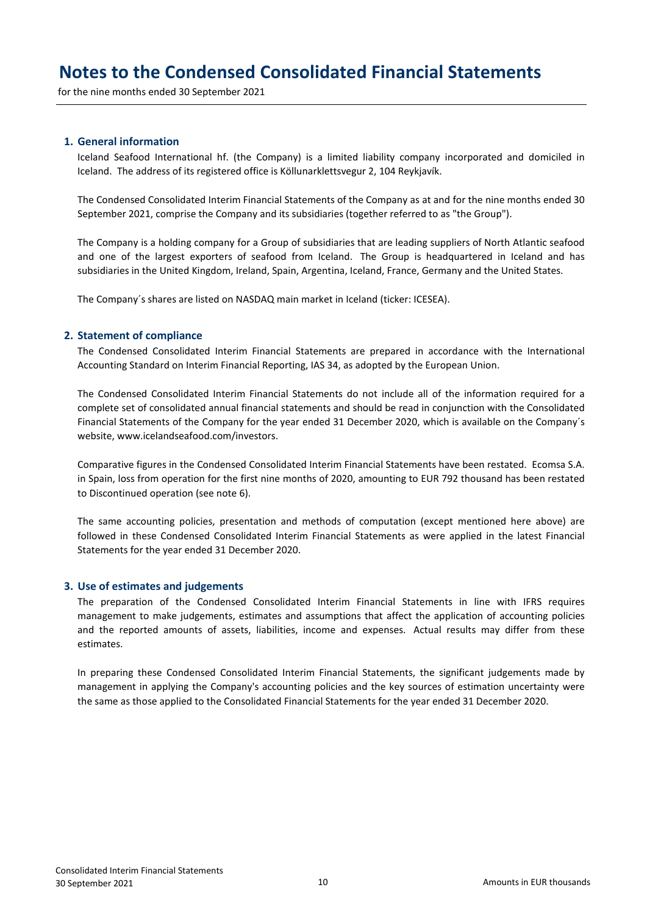for the nine months ended 30 September 2021

### **1. General information**

Iceland Seafood International hf. (the Company) is a limited liability company incorporated and domiciled in Iceland. The address of its registered office is Köllunarklettsvegur 2, 104 Reykjavík.

The Condensed Consolidated Interim Financial Statements of the Company as at and for the nine months ended 30 September 2021, comprise the Company and its subsidiaries (together referred to as "the Group").

The Company is a holding company for a Group of subsidiaries that are leading suppliers of North Atlantic seafood and one of the largest exporters of seafood from Iceland. The Group is headquartered in Iceland and has subsidiaries in the United Kingdom, Ireland, Spain, Argentina, Iceland, France, Germany and the United States.

The Company´s shares are listed on NASDAQ main market in Iceland (ticker: ICESEA).

#### **2. Statement of compliance**

The Condensed Consolidated Interim Financial Statements are prepared in accordance with the International Accounting Standard on Interim Financial Reporting, IAS 34, as adopted by the European Union.

The Condensed Consolidated Interim Financial Statements do not include all of the information required for a complete set of consolidated annual financial statements and should be read in conjunction with the Consolidated Financial Statements of the Company for the year ended 31 December 2020, which is available on the Company´s website, www.icelandseafood.com/investors.

Comparative figures in the Condensed Consolidated Interim Financial Statements have been restated. Ecomsa S.A. in Spain, loss from operation for the first nine months of 2020, amounting to EUR 792 thousand has been restated to Discontinued operation (see note 6).

The same accounting policies, presentation and methods of computation (except mentioned here above) are followed in these Condensed Consolidated Interim Financial Statements as were applied in the latest Financial Statements for the year ended 31 December 2020.

#### **3. Use of estimates and judgements**

The preparation of the Condensed Consolidated Interim Financial Statements in line with IFRS requires management to make judgements, estimates and assumptions that affect the application of accounting policies and the reported amounts of assets, liabilities, income and expenses. Actual results may differ from these estimates.

In preparing these Condensed Consolidated Interim Financial Statements, the significant judgements made by management in applying the Company's accounting policies and the key sources of estimation uncertainty were the same as those applied to the Consolidated Financial Statements for the year ended 31 December 2020.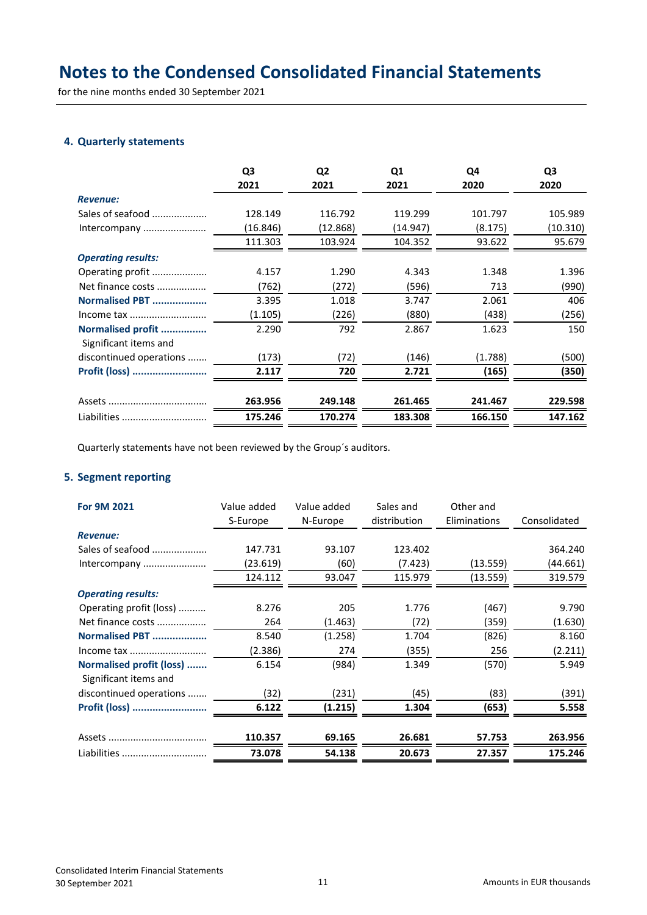for the nine months ended 30 September 2021

### **4. Quarterly statements**

|                                            | Q3<br>2021 | Q <sub>2</sub><br>2021 | Q <sub>1</sub><br>2021 | Q4<br>2020 | Q <sub>3</sub><br>2020 |
|--------------------------------------------|------------|------------------------|------------------------|------------|------------------------|
| <b>Revenue:</b>                            |            |                        |                        |            |                        |
| Sales of seafood                           | 128.149    | 116.792                | 119.299                | 101.797    | 105.989                |
| Intercompany                               | (16.846)   | (12.868)               | (14.947)               | (8.175)    | (10.310)               |
|                                            | 111.303    | 103.924                | 104.352                | 93.622     | 95.679                 |
| <b>Operating results:</b>                  |            |                        |                        |            |                        |
| Operating profit                           | 4.157      | 1.290                  | 4.343                  | 1.348      | 1.396                  |
| Net finance costs                          | (762)      | (272)                  | (596)                  | 713        | (990)                  |
| Normalised PBT                             | 3.395      | 1.018                  | 3.747                  | 2.061      | 406                    |
| Income tax                                 | (1.105)    | (226)                  | (880)                  | (438)      | (256)                  |
| Normalised profit<br>Significant items and | 2.290      | 792                    | 2.867                  | 1.623      | 150                    |
| discontinued operations                    | (173)      | (72)                   | (146)                  | (1.788)    | (500)                  |
| Profit (loss)                              | 2.117      | 720                    | 2.721                  | (165)      | (350)                  |
|                                            | 263.956    | 249.148                | 261.465                | 241.467    | 229.598                |
| Liabilities                                | 175.246    | 170.274                | 183.308                | 166.150    | 147.162                |

Quarterly statements have not been reviewed by the Group´s auditors.

### **5. Segment reporting**

| For 9M 2021                                       | Value added<br>S-Europe | Value added<br>N-Europe | Sales and<br>distribution | Other and<br>Eliminations | Consolidated |
|---------------------------------------------------|-------------------------|-------------------------|---------------------------|---------------------------|--------------|
| <b>Revenue:</b>                                   |                         |                         |                           |                           |              |
| Sales of seafood                                  | 147.731                 | 93.107                  | 123.402                   |                           | 364.240      |
| Intercompany                                      | (23.619)                | (60)                    | (7.423)                   | (13.559)                  | (44.661)     |
|                                                   | 124.112                 | 93.047                  | 115.979                   | (13.559)                  | 319.579      |
| <b>Operating results:</b>                         |                         |                         |                           |                           |              |
| Operating profit (loss)                           | 8.276                   | 205                     | 1.776                     | (467)                     | 9.790        |
| Net finance costs                                 | 264                     | (1.463)                 | (72)                      | (359)                     | (1.630)      |
| Normalised PBT                                    | 8.540                   | (1.258)                 | 1.704                     | (826)                     | 8.160        |
|                                                   | (2.386)                 | 274                     | (355)                     | 256                       | (2.211)      |
| Normalised profit (loss)<br>Significant items and | 6.154                   | (984)                   | 1.349                     | (570)                     | 5.949        |
| discontinued operations                           | (32)                    | (231)                   | (45)                      | (83)                      | (391)        |
| Profit (loss)                                     | 6.122                   | (1.215)                 | 1.304                     | (653)                     | 5.558        |
|                                                   | 110.357                 | 69.165                  | 26.681                    | 57.753                    | 263.956      |
| Liabilities                                       | 73.078                  | 54.138                  | 20.673                    | 27.357                    | 175.246      |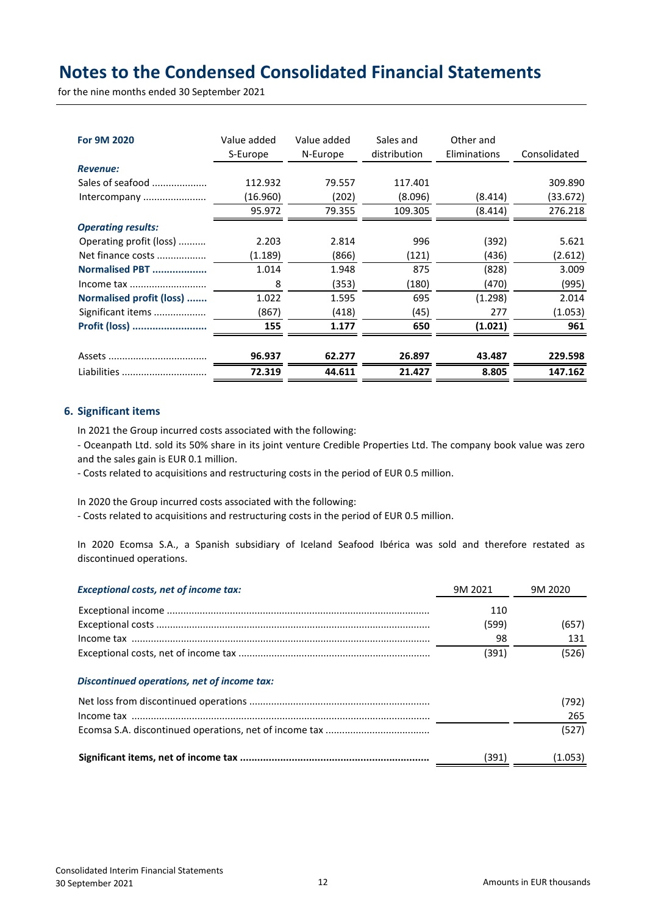for the nine months ended 30 September 2021

| For 9M 2020               | Value added<br>S-Europe | Value added<br>N-Europe | Sales and<br>distribution | Other and<br>Eliminations | Consolidated |
|---------------------------|-------------------------|-------------------------|---------------------------|---------------------------|--------------|
| <b>Revenue:</b>           |                         |                         |                           |                           |              |
| Sales of seafood          | 112.932                 | 79.557                  | 117.401                   |                           | 309.890      |
| Intercompany              | (16.960)                | (202)                   | (8.096)                   | (8.414)                   | (33.672)     |
|                           | 95.972                  | 79.355                  | 109.305                   | (8.414)                   | 276.218      |
| <b>Operating results:</b> |                         |                         |                           |                           |              |
| Operating profit (loss)   | 2.203                   | 2.814                   | 996                       | (392)                     | 5.621        |
| Net finance costs         | (1.189)                 | (866)                   | (121)                     | (436)                     | (2.612)      |
| Normalised PBT            | 1.014                   | 1.948                   | 875                       | (828)                     | 3.009        |
| Income tax                | 8                       | (353)                   | (180)                     | (470)                     | (995)        |
| Normalised profit (loss)  | 1.022                   | 1.595                   | 695                       | (1.298)                   | 2.014        |
| Significant items         | (867)                   | (418)                   | (45)                      | 277                       | (1.053)      |
| Profit (loss)             | 155                     | 1.177                   | 650                       | (1.021)                   | 961          |
|                           | 96.937                  | 62.277                  | 26.897                    | 43.487                    | 229.598      |
| Liabilities               | 72.319                  | 44.611                  | 21.427                    | 8.805                     | 147.162      |

### **6. Significant items**

In 2021 the Group incurred costs associated with the following:

- Oceanpath Ltd. sold its 50% share in its joint venture Credible Properties Ltd. The company book value was zero and the sales gain is EUR 0.1 million.

- Costs related to acquisitions and restructuring costs in the period of EUR 0.5 million.

In 2020 the Group incurred costs associated with the following:

- Costs related to acquisitions and restructuring costs in the period of EUR 0.5 million.

In 2020 Ecomsa S.A., a Spanish subsidiary of Iceland Seafood Ibérica was sold and therefore restated as discontinued operations.

| <b>Exceptional costs, net of income tax:</b> | 9M 2021 | 9M 2020 |
|----------------------------------------------|---------|---------|
|                                              | 110     |         |
|                                              | (599)   | (657)   |
|                                              | 98      | 131     |
|                                              | (391)   | (526)   |
| Discontinued operations, net of income tax:  |         |         |
|                                              |         | (792)   |
|                                              |         | 265     |
|                                              |         | (527)   |
|                                              | (391)   | (1.053) |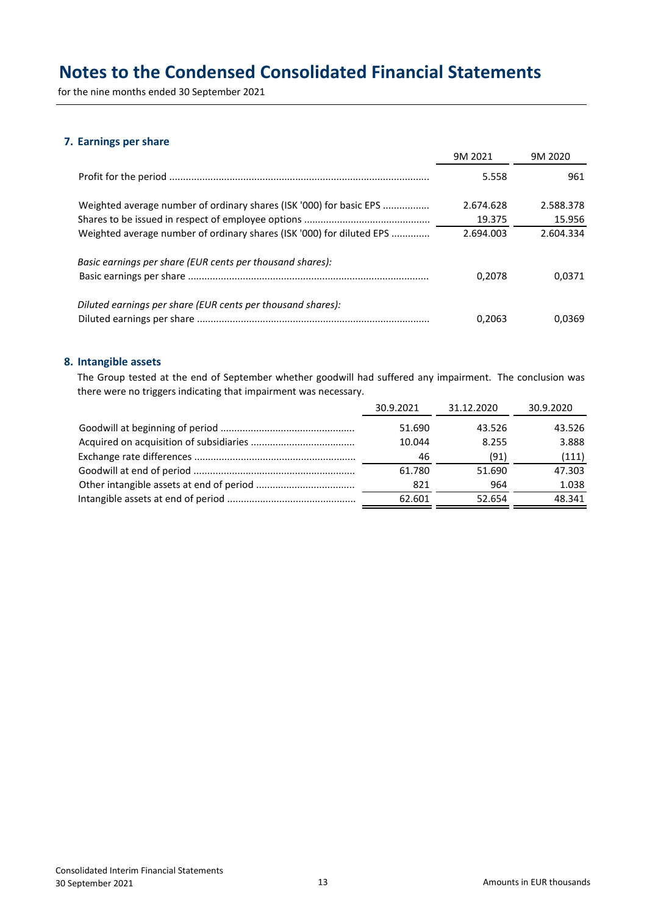for the nine months ended 30 September 2021

### **7. Earnings per share**

|                                                                       | 9M 2021   | 9M 2020   |
|-----------------------------------------------------------------------|-----------|-----------|
|                                                                       | 5.558     | 961       |
| Weighted average number of ordinary shares (ISK '000) for basic EPS   | 2.674.628 | 2.588.378 |
|                                                                       | 19.375    | 15.956    |
| Weighted average number of ordinary shares (ISK '000) for diluted EPS | 2.694.003 | 2.604.334 |
| Basic earnings per share (EUR cents per thousand shares):             |           |           |
|                                                                       | 0.2078    | 0.0371    |
| Diluted earnings per share (EUR cents per thousand shares):           |           |           |
|                                                                       | 0.2063    | 0.0369    |

### **8. Intangible assets**

The Group tested at the end of September whether goodwill had suffered any impairment. The conclusion was there were no triggers indicating that impairment was necessary.

| 30.9.2021 | 31.12.2020 | 30.9.2020 |
|-----------|------------|-----------|
| 51.690    | 43.526     | 43.526    |
| 10.044    | 8.255      | 3.888     |
| 46        | (91)       | (111)     |
| 61.780    | 51.690     | 47.303    |
| 821       | 964        | 1.038     |
| 62.601    | 52.654     | 48.341    |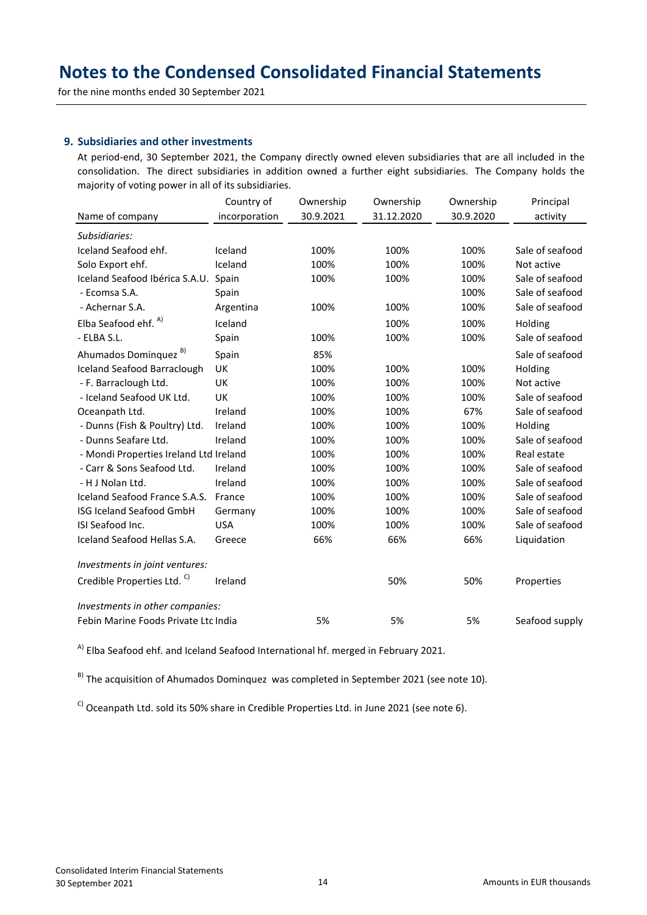for the nine months ended 30 September 2021

### **9. Subsidiaries and other investments**

At period-end, 30 September 2021, the Company directly owned eleven subsidiaries that are all included in the consolidation. The direct subsidiaries in addition owned a further eight subsidiaries. The Company holds the majority of voting power in all of its subsidiaries.

|                                        | Country of    | Ownership | Ownership  | Ownership | Principal       |
|----------------------------------------|---------------|-----------|------------|-----------|-----------------|
| Name of company                        | incorporation | 30.9.2021 | 31.12.2020 | 30.9.2020 | activity        |
| Subsidiaries:                          |               |           |            |           |                 |
| Iceland Seafood ehf.                   | Iceland       | 100%      | 100%       | 100%      | Sale of seafood |
| Solo Export ehf.                       | Iceland       | 100%      | 100%       | 100%      | Not active      |
| Iceland Seafood Ibérica S.A.U.         | Spain         | 100%      | 100%       | 100%      | Sale of seafood |
| - Ecomsa S.A.                          | Spain         |           |            | 100%      | Sale of seafood |
| - Achernar S.A.                        | Argentina     | 100%      | 100%       | 100%      | Sale of seafood |
| Elba Seafood ehf. <sup>A)</sup>        | Iceland       |           | 100%       | 100%      | Holding         |
| - ELBA S.L.                            | Spain         | 100%      | 100%       | 100%      | Sale of seafood |
| Ahumados Dominquez <sup>B)</sup>       | Spain         | 85%       |            |           | Sale of seafood |
| <b>Iceland Seafood Barraclough</b>     | <b>UK</b>     | 100%      | 100%       | 100%      | Holding         |
| - F. Barraclough Ltd.                  | <b>UK</b>     | 100%      | 100%       | 100%      | Not active      |
| - Iceland Seafood UK Ltd.              | <b>UK</b>     | 100%      | 100%       | 100%      | Sale of seafood |
| Oceanpath Ltd.                         | Ireland       | 100%      | 100%       | 67%       | Sale of seafood |
| - Dunns (Fish & Poultry) Ltd.          | Ireland       | 100%      | 100%       | 100%      | Holding         |
| - Dunns Seafare Ltd.                   | Ireland       | 100%      | 100%       | 100%      | Sale of seafood |
| - Mondi Properties Ireland Ltd Ireland |               | 100%      | 100%       | 100%      | Real estate     |
| - Carr & Sons Seafood Ltd.             | Ireland       | 100%      | 100%       | 100%      | Sale of seafood |
| - H J Nolan Ltd.                       | Ireland       | 100%      | 100%       | 100%      | Sale of seafood |
| Iceland Seafood France S.A.S.          | France        | 100%      | 100%       | 100%      | Sale of seafood |
| ISG Iceland Seafood GmbH               | Germany       | 100%      | 100%       | 100%      | Sale of seafood |
| ISI Seafood Inc.                       | <b>USA</b>    | 100%      | 100%       | 100%      | Sale of seafood |
| Iceland Seafood Hellas S.A.            | Greece        | 66%       | 66%        | 66%       | Liquidation     |
| Investments in joint ventures:         |               |           |            |           |                 |
| Credible Properties Ltd. C)            | Ireland       |           | 50%        | 50%       | Properties      |
| Investments in other companies:        |               |           |            |           |                 |
| Febin Marine Foods Private Ltd India   |               | 5%        | 5%         | 5%        | Seafood supply  |

<sup>A)</sup> Elba Seafood ehf. and Iceland Seafood International hf. merged in February 2021.

 $B$ <sup>B)</sup> The acquisition of Ahumados Dominquez was completed in September 2021 (see note 10).

 $\text{C}$ ) Oceanpath Ltd. sold its 50% share in Credible Properties Ltd. in June 2021 (see note 6).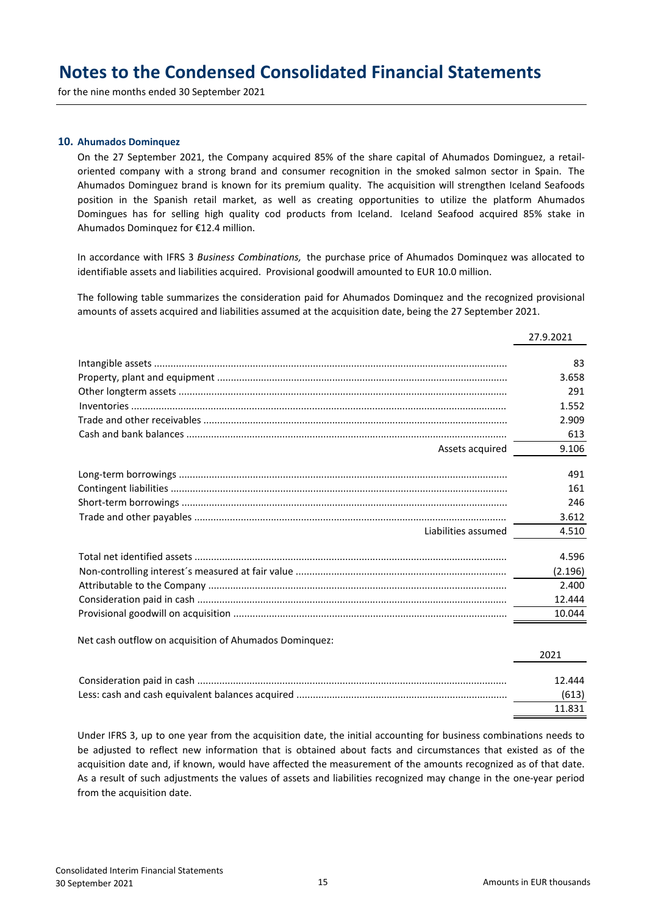for the nine months ended 30 September 2021

#### **10. Ahumados Dominquez**

On the 27 September 2021, the Company acquired 85% of the share capital of Ahumados Dominguez, a retailoriented company with a strong brand and consumer recognition in the smoked salmon sector in Spain. The Ahumados Dominguez brand is known for its premium quality. The acquisition will strengthen Iceland Seafoods position in the Spanish retail market, as well as creating opportunities to utilize the platform Ahumados Domingues has for selling high quality cod products from Iceland. Iceland Seafood acquired 85% stake in Ahumados Dominquez for €12.4 million.

In accordance with IFRS 3 *Business Combinations,* the purchase price of Ahumados Dominquez was allocated to identifiable assets and liabilities acquired. Provisional goodwill amounted to EUR 10.0 million.

The following table summarizes the consideration paid for Ahumados Dominquez and the recognized provisional amounts of assets acquired and liabilities assumed at the acquisition date, being the 27 September 2021.

|                                                        | 27.9.2021 |
|--------------------------------------------------------|-----------|
|                                                        | 83        |
|                                                        | 3.658     |
|                                                        | 291       |
|                                                        | 1.552     |
|                                                        | 2.909     |
|                                                        | 613       |
| Assets acquired                                        | 9.106     |
|                                                        | 491       |
|                                                        | 161       |
|                                                        | 246       |
|                                                        | 3.612     |
| Liabilities assumed                                    | 4.510     |
|                                                        | 4.596     |
|                                                        | (2.196)   |
|                                                        | 2.400     |
|                                                        | 12.444    |
|                                                        | 10.044    |
| Net cash outflow on acquisition of Ahumados Dominquez: |           |
|                                                        | 2021      |
|                                                        | 12.444    |
|                                                        | (613)     |
|                                                        | 11.831    |
|                                                        |           |

Under IFRS 3, up to one year from the acquisition date, the initial accounting for business combinations needs to be adjusted to reflect new information that is obtained about facts and circumstances that existed as of the acquisition date and, if known, would have affected the measurement of the amounts recognized as of that date. As a result of such adjustments the values of assets and liabilities recognized may change in the one-year period from the acquisition date.